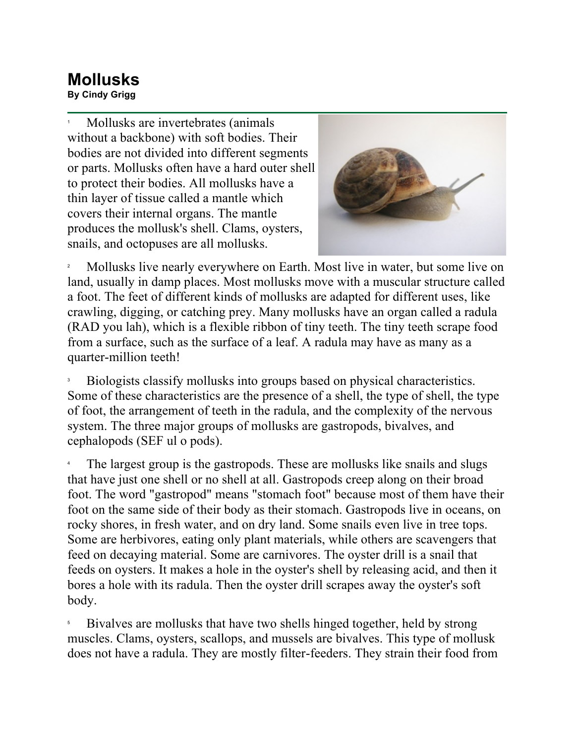## **Mollusks By Cindy Grigg**

1 Mollusks are invertebrates (animals without a backbone) with soft bodies. Their bodies are not divided into different segments or parts. Mollusks often have a hard outer shell to protect their bodies. All mollusks have a thin layer of tissue called a mantle which covers their internal organs. The mantle produces the mollusk's shell. Clams, oysters, snails, and octopuses are all mollusks.



2 Mollusks live nearly everywhere on Earth. Most live in water, but some live on land, usually in damp places. Most mollusks move with a muscular structure called a foot. The feet of different kinds of mollusks are adapted for different uses, like crawling, digging, or catching prey. Many mollusks have an organ called a radula (RAD you lah), which is a flexible ribbon of tiny teeth. The tiny teeth scrape food from a surface, such as the surface of a leaf. A radula may have as many as a quarter-million teeth!

3 Biologists classify mollusks into groups based on physical characteristics. Some of these characteristics are the presence of a shell, the type of shell, the type of foot, the arrangement of teeth in the radula, and the complexity of the nervous system. The three major groups of mollusks are gastropods, bivalves, and cephalopods (SEF ul o pods).

4 The largest group is the gastropods. These are mollusks like snails and slugs that have just one shell or no shell at all. Gastropods creep along on their broad foot. The word "gastropod" means "stomach foot" because most of them have their foot on the same side of their body as their stomach. Gastropods live in oceans, on rocky shores, in fresh water, and on dry land. Some snails even live in tree tops. Some are herbivores, eating only plant materials, while others are scavengers that feed on decaying material. Some are carnivores. The oyster drill is a snail that feeds on oysters. It makes a hole in the oyster's shell by releasing acid, and then it bores a hole with its radula. Then the oyster drill scrapes away the oyster's soft body.

5 Bivalves are mollusks that have two shells hinged together, held by strong muscles. Clams, oysters, scallops, and mussels are bivalves. This type of mollusk does not have a radula. They are mostly filter-feeders. They strain their food from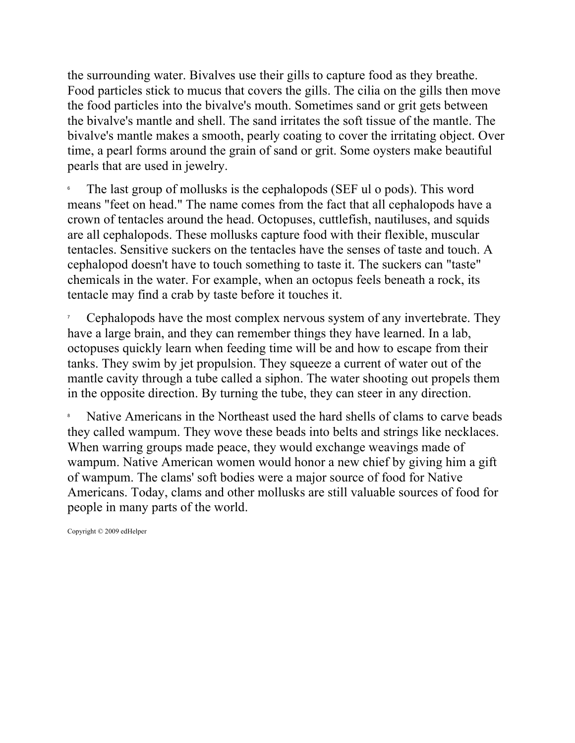the surrounding water. Bivalves use their gills to capture food as they breathe. Food particles stick to mucus that covers the gills. The cilia on the gills then move the food particles into the bivalve's mouth. Sometimes sand or grit gets between the bivalve's mantle and shell. The sand irritates the soft tissue of the mantle. The bivalve's mantle makes a smooth, pearly coating to cover the irritating object. Over time, a pearl forms around the grain of sand or grit. Some oysters make beautiful pearls that are used in jewelry.

6 The last group of mollusks is the cephalopods (SEF ul o pods). This word means "feet on head." The name comes from the fact that all cephalopods have a crown of tentacles around the head. Octopuses, cuttlefish, nautiluses, and squids are all cephalopods. These mollusks capture food with their flexible, muscular tentacles. Sensitive suckers on the tentacles have the senses of taste and touch. A cephalopod doesn't have to touch something to taste it. The suckers can "taste" chemicals in the water. For example, when an octopus feels beneath a rock, its tentacle may find a crab by taste before it touches it.

7 Cephalopods have the most complex nervous system of any invertebrate. They have a large brain, and they can remember things they have learned. In a lab, octopuses quickly learn when feeding time will be and how to escape from their tanks. They swim by jet propulsion. They squeeze a current of water out of the mantle cavity through a tube called a siphon. The water shooting out propels them in the opposite direction. By turning the tube, they can steer in any direction.

8 Native Americans in the Northeast used the hard shells of clams to carve beads they called wampum. They wove these beads into belts and strings like necklaces. When warring groups made peace, they would exchange weavings made of wampum. Native American women would honor a new chief by giving him a gift of wampum. The clams' soft bodies were a major source of food for Native Americans. Today, clams and other mollusks are still valuable sources of food for people in many parts of the world.

Copyright © 2009 edHelper